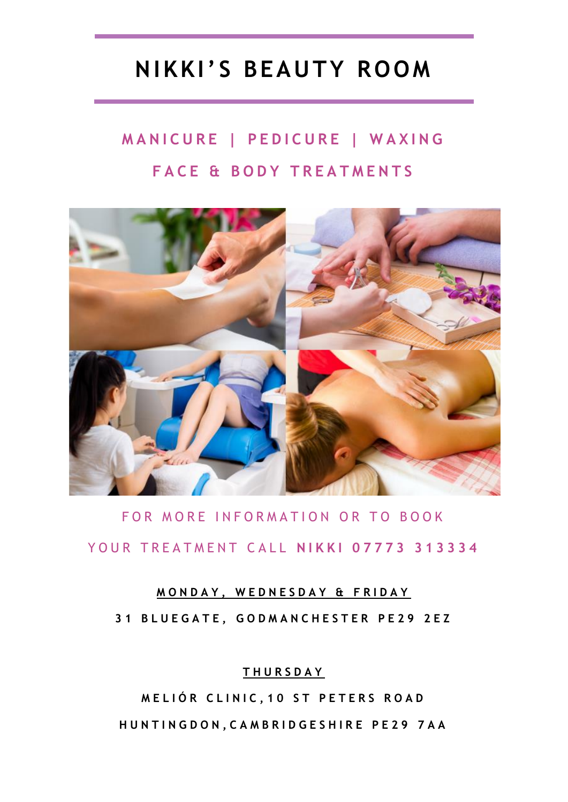# **NIKKI' S BEAUTY ROOM**

# **MANICURE | PEDICURE | WAXING FACE & BODY TREATMENTS**



## FOR MORE INFORMATION OR TO BOOK YOUR TREATMENT CALL NIKKI 07773 313334

### **M O N D A Y , W E D N E S D A Y & F R I D A Y**

**3 1 B L U E G A T E , G O D M A N C H E S T E R P E 2 9 2 E Z**

### **T H U R S D A Y**

**M E L I Ó R C L I N I C , 1 0 S T P E T E R S R O A D H U N T I N G D O N , C A M B R I D G E S H I R E P E 2 9 7 A A**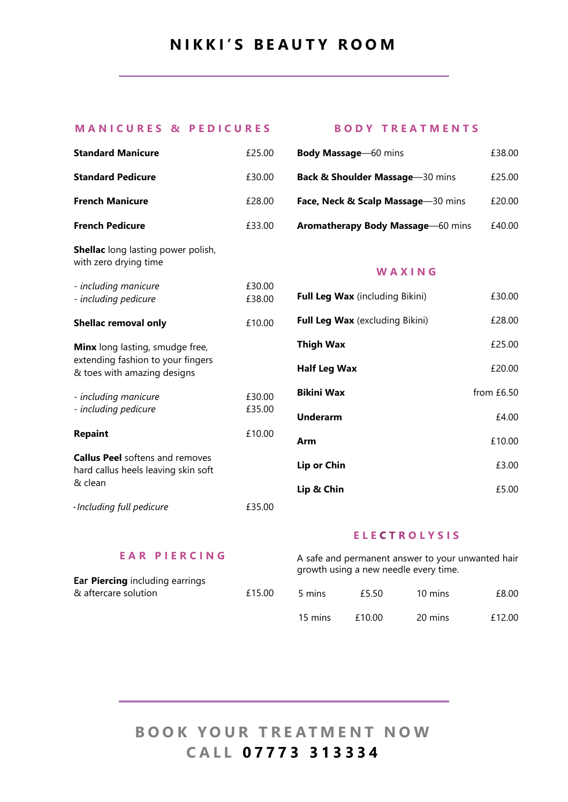### **N I K K I ' S B E A U T Y R O O M**

#### **M A N I C U R E S & P E D I C U R E S B O D Y T R E A T M E N T S**

| <b>Standard Manicure</b>                                                                                   | £25.00           |
|------------------------------------------------------------------------------------------------------------|------------------|
| <b>Standard Pedicure</b>                                                                                   | £30.00           |
| <b>French Manicure</b>                                                                                     | £28.00           |
| <b>French Pedicure</b>                                                                                     | £33.00           |
| <b>Shellac</b> long lasting power polish,<br>with zero drying time                                         |                  |
| - including manicure<br>- including pedicure                                                               | £30.00<br>£38.00 |
| <b>Shellac removal only</b>                                                                                | £10.00           |
| <b>Minx</b> long lasting, smudge free,<br>extending fashion to your fingers<br>& toes with amazing designs |                  |
| - including manicure<br>- including pedicure                                                               | £30.00<br>£35.00 |
| <b>Repaint</b>                                                                                             | £10.00           |
| <b>Callus Peel</b> softens and removes<br>hard callus heels leaving skin soft<br>& clean                   |                  |
| - Including full pedicure                                                                                  | £35.00           |

| <b>Body Massage</b> 60 mins                | £38.00 |
|--------------------------------------------|--------|
| <b>Back &amp; Shoulder Massage-30 mins</b> | £25.00 |
| Face, Neck & Scalp Massage-30 mins         | £20.00 |
| Aromatherapy Body Massage-60 mins          | £40.00 |

#### **W A X I N G**

| <b>Full Leg Wax</b> (including Bikini) | £30.00     |
|----------------------------------------|------------|
| <b>Full Leg Wax</b> (excluding Bikini) | £28.00     |
| <b>Thigh Wax</b>                       | £25.00     |
| <b>Half Leg Wax</b>                    | £20.00     |
| <b>Bikini Wax</b>                      | from £6.50 |
| <b>Underarm</b>                        | £4.00      |
| Arm                                    | £10.00     |
| Lip or Chin                            | £3.00      |
| Lip & Chin                             | £5.00      |

#### **E A R P I E R C I N G**

**Ear Piercing** including earrings & aftercare solution £15.00

#### **E L E O L Y S I S**

|         |        | A safe and permanent answer to your unwanted hair<br>growth using a new needle every time. |        |
|---------|--------|--------------------------------------------------------------------------------------------|--------|
| 5 mins  | £5.50  | 10 mins                                                                                    | £8.00  |
| 15 mins | £10.00 | 20 mins                                                                                    | £12.00 |

### **BOOK YOUR TREATMENT NOW C A L L 0 7 7 7 3 3 1 3 3 3 4**